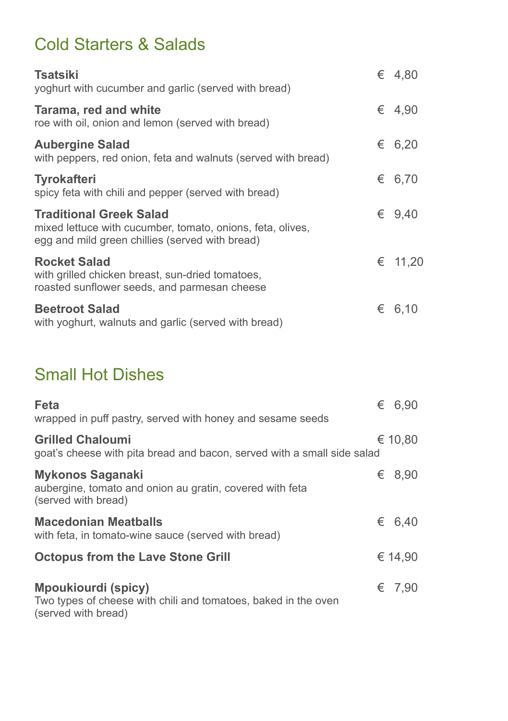## Cold Starters & Salads

| Tsatsiki<br>yoghurt with cucumber and garlic (served with bread)                                                                                | € 4,80          |
|-------------------------------------------------------------------------------------------------------------------------------------------------|-----------------|
| Tarama, red and white<br>roe with oil, onion and lemon (served with bread)                                                                      | $\epsilon$ 4.90 |
| <b>Aubergine Salad</b><br>with peppers, red onion, feta and walnuts (served with bread)                                                         | € 6,20          |
| <b>Tyrokafteri</b><br>spicy feta with chili and pepper (served with bread)                                                                      | € 6,70          |
| <b>Traditional Greek Salad</b><br>mixed lettuce with cucumber, tomato, onions, feta, olives,<br>egg and mild green chillies (served with bread) | $\epsilon$ 9.40 |
| <b>Rocket Salad</b><br>with grilled chicken breast, sun-dried tomatoes,<br>roasted sunflower seeds, and parmesan cheese                         | € 11,20         |
| <b>Beetroot Salad</b><br>with yoghurt, walnuts and garlic (served with bread)                                                                   | € 6,10          |

#### Small Hot Dishes

| Feta<br>wrapped in puff pastry, served with honey and sesame seeds                                           | € 6,90          |
|--------------------------------------------------------------------------------------------------------------|-----------------|
| <b>Grilled Chaloumi</b><br>goat's cheese with pita bread and bacon, served with a small side salad           | € 10,80         |
| Mykonos Saganaki<br>aubergine, tomato and onion au gratin, covered with feta<br>(served with bread)          | € 8,90          |
| <b>Macedonian Meatballs</b><br>with feta, in tomato-wine sauce (served with bread)                           | € 6,40          |
| <b>Octopus from the Lave Stone Grill</b>                                                                     | € 14,90         |
| Mpoukiourdi (spicy)<br>Two types of cheese with chili and tomatoes, baked in the oven<br>(served with bread) | $\epsilon$ 7.90 |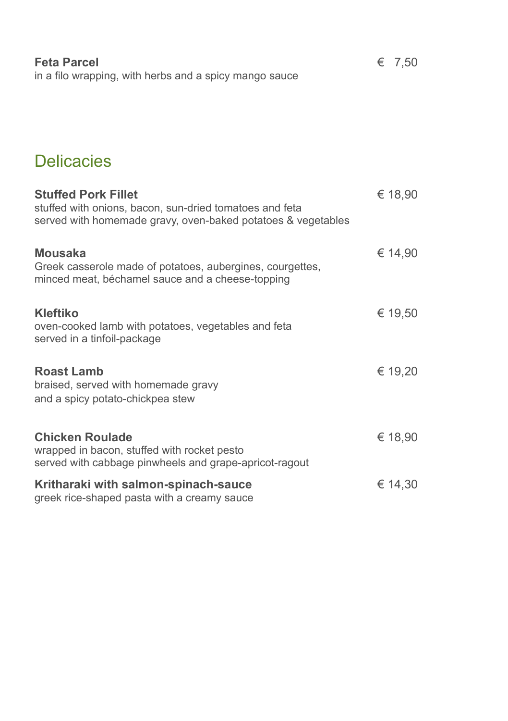| <b>Feta Parcel</b>                                     | $\epsilon$ 7.50 |
|--------------------------------------------------------|-----------------|
| in a filo wrapping, with herbs and a spicy mango sauce |                 |

### **Delicacies**

| <b>Stuffed Pork Fillet</b><br>stuffed with onions, bacon, sun-dried tomatoes and feta<br>served with homemade gravy, oven-baked potatoes & vegetables | € 18,90 |
|-------------------------------------------------------------------------------------------------------------------------------------------------------|---------|
| <b>Mousaka</b><br>Greek casserole made of potatoes, aubergines, courgettes,<br>minced meat, béchamel sauce and a cheese-topping                       | € 14,90 |
| <b>Kleftiko</b><br>oven-cooked lamb with potatoes, vegetables and feta<br>served in a tinfoil-package                                                 | € 19,50 |
| <b>Roast Lamb</b><br>braised, served with homemade gravy<br>and a spicy potato-chickpea stew                                                          | € 19,20 |
| <b>Chicken Roulade</b><br>wrapped in bacon, stuffed with rocket pesto<br>served with cabbage pinwheels and grape-apricot-ragout                       | € 18,90 |
| Kritharaki with salmon-spinach-sauce<br>greek rice-shaped pasta with a creamy sauce                                                                   | € 14,30 |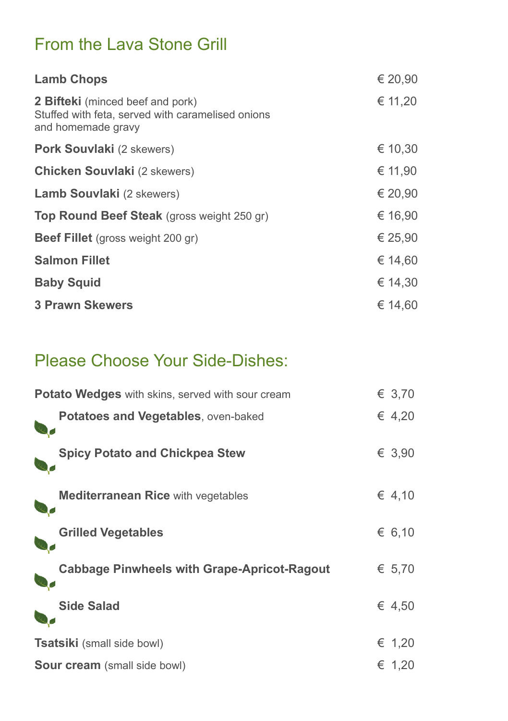### From the Lava Stone Grill

| <b>Lamb Chops</b>                                                                                                  | € 20,90 |
|--------------------------------------------------------------------------------------------------------------------|---------|
| <b>2 Bifteki</b> (minced beef and pork)<br>Stuffed with feta, served with caramelised onions<br>and homemade gravy | € 11,20 |
| Pork Souvlaki (2 skewers)                                                                                          | € 10,30 |
| <b>Chicken Souvlaki</b> (2 skewers)                                                                                | € 11,90 |
| <b>Lamb Souvlaki</b> (2 skewers)                                                                                   | € 20,90 |
| <b>Top Round Beef Steak</b> (gross weight 250 gr)                                                                  | € 16,90 |
| <b>Beef Fillet</b> (gross weight 200 gr)                                                                           | € 25,90 |
| <b>Salmon Fillet</b>                                                                                               | € 14,60 |
| <b>Baby Squid</b>                                                                                                  | € 14,30 |
| <b>3 Prawn Skewers</b>                                                                                             | € 14.60 |

## Please Choose Your Side-Dishes:

| Potato Wedges with skins, served with sour cream   | € 3,70 |
|----------------------------------------------------|--------|
| <b>Potatoes and Vegetables, oven-baked</b>         | € 4,20 |
| <b>Spicy Potato and Chickpea Stew</b>              | € 3,90 |
| <b>Mediterranean Rice with vegetables</b>          | € 4,10 |
| <b>Grilled Vegetables</b>                          | € 6,10 |
| <b>Cabbage Pinwheels with Grape-Apricot-Ragout</b> | € 5,70 |
| <b>Side Salad</b>                                  | € 4.50 |
| <b>Tsatsiki</b> (small side bowl)                  | € 1,20 |
| <b>Sour cream</b> (small side bowl)                | € 1,20 |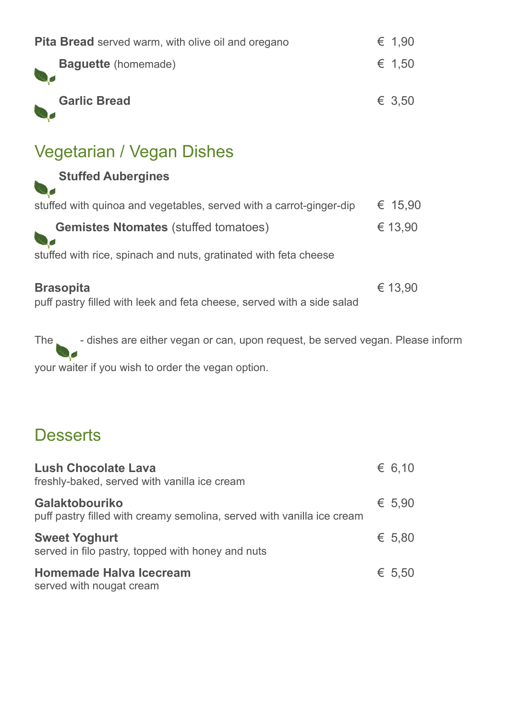| <b>Pita Bread</b> served warm, with olive oil and oregano                                  | € 1,90  |
|--------------------------------------------------------------------------------------------|---------|
| <b>Baguette</b> (homemade)                                                                 | € 1,50  |
| <b>Garlic Bread</b>                                                                        | € 3.50  |
| Vegetarian / Vegan Dishes                                                                  |         |
| <b>Stuffed Aubergines</b>                                                                  |         |
| stuffed with quinoa and vegetables, served with a carrot-ginger-dip                        | € 15,90 |
| <b>Gemistes Ntomates</b> (stuffed tomatoes)                                                | € 13,90 |
| stuffed with rice, spinach and nuts, gratinated with feta cheese                           |         |
| <b>Brasopita</b><br>puff pastry filled with leek and feta cheese, served with a side salad | € 13,90 |

The state dishes are either vegan or can, upon request, be served vegan. Please inform your waiter if you wish to order the vegan option.

#### **Desserts**

| <b>Lush Chocolate Lava</b><br>freshly-baked, served with vanilla ice cream                      | $\epsilon$ 6.10 |
|-------------------------------------------------------------------------------------------------|-----------------|
| <b>Galaktobouriko</b><br>puff pastry filled with creamy semolina, served with vanilla ice cream | € 5.90          |
| <b>Sweet Yoghurt</b><br>served in filo pastry, topped with honey and nuts                       | € 5.80          |
| <b>Homemade Halva Icecream</b><br>served with nougat cream                                      | $\epsilon$ 5.50 |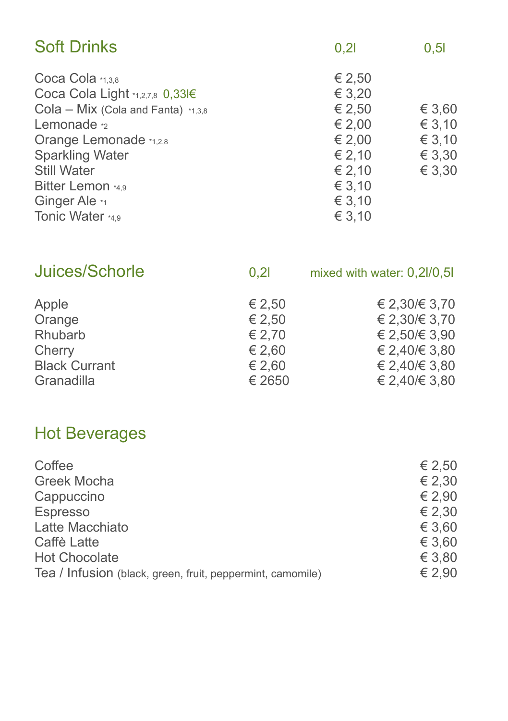| <b>Soft Drinks</b>                                                                                                                                                                                                | 0,21                                                                         | 0,51                                           |
|-------------------------------------------------------------------------------------------------------------------------------------------------------------------------------------------------------------------|------------------------------------------------------------------------------|------------------------------------------------|
| Coca Cola *1,3,8<br>Coca Cola Light *1,2,7,8 0,33l€<br>Cola - Mix (Cola and Fanta) *1,3,8<br>Lemonade <sub>2</sub><br>Orange Lemonade *1,2,8<br><b>Sparkling Water</b><br><b>Still Water</b><br>Bitter Lemon *4,9 | € 2,50<br>€ 3,20<br>€ 2,50<br>€ 2,00<br>€ 2,00<br>€ 2.10<br>€ 2,10<br>€ 3,10 | € 3,60<br>€ 3,10<br>€ 3,10<br>€ 3,30<br>€ 3,30 |
| Ginger Ale *1<br>Tonic Water *4,9                                                                                                                                                                                 | € 3,10<br>€ 3,10                                                             |                                                |
|                                                                                                                                                                                                                   |                                                                              |                                                |

| Juices/Schorle       | 0, 21  | mixed with water: 0,2l/0,5l |
|----------------------|--------|-----------------------------|
| Apple                | € 2,50 | € 2,30/€ 3,70               |
| Orange               | € 2,50 | € 2,30/€ 3,70               |
| Rhubarb              | € 2.70 | € 2,50/€ 3,90               |
| Cherry               | € 2,60 | € 2,40/€ 3,80               |
| <b>Black Currant</b> | € 2,60 | € 2,40/€ 3,80               |
| Granadilla           | € 2650 | € 2,40/€ 3,80               |
|                      |        |                             |

# Hot Beverages

| Coffee                                                     | € 2,50 |
|------------------------------------------------------------|--------|
| <b>Greek Mocha</b>                                         | € 2.30 |
| Cappuccino                                                 | € 2,90 |
| <b>Espresso</b>                                            | € 2,30 |
| Latte Macchiato                                            | € 3.60 |
| Caffè Latte                                                | € 3.60 |
| <b>Hot Chocolate</b>                                       | € 3,80 |
| Tea / Infusion (black, green, fruit, peppermint, camomile) | € 2.90 |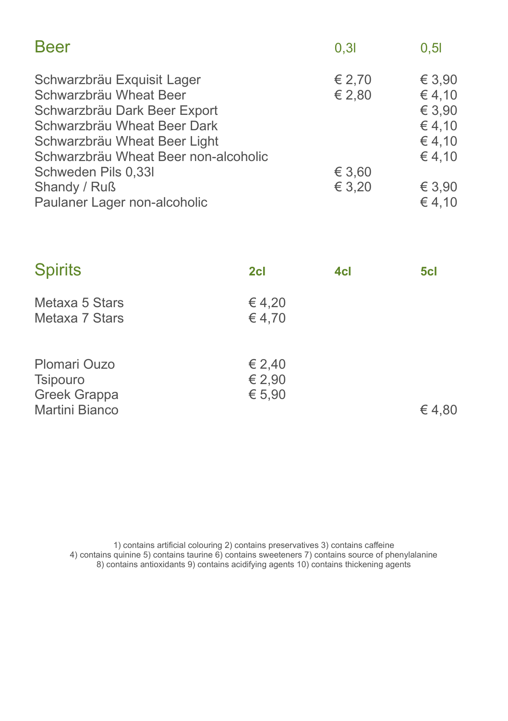| <b>Beer</b>                                                                                                                                                                                 | 0.31             | 0,5                                                   |
|---------------------------------------------------------------------------------------------------------------------------------------------------------------------------------------------|------------------|-------------------------------------------------------|
| Schwarzbräu Exquisit Lager<br>Schwarzbräu Wheat Beer<br>Schwarzbräu Dark Beer Export<br>Schwarzbräu Wheat Beer Dark<br>Schwarzbräu Wheat Beer Light<br>Schwarzbräu Wheat Beer non-alcoholic | € 2,70<br>€ 2,80 | € 3.90<br>€4,10<br>€ 3,90<br>€ 4,10<br>€4,10<br>€4,10 |
| Schweden Pils 0,33I                                                                                                                                                                         | € 3,60           |                                                       |
| Shandy / Ruß                                                                                                                                                                                | € 3,20           | € 3,90                                                |
| Paulaner Lager non-alcoholic                                                                                                                                                                |                  | € 4,10                                                |

| <b>Spirits</b>                                             | 2cl                        | 4cl | 5cl   |
|------------------------------------------------------------|----------------------------|-----|-------|
| Metaxa 5 Stars<br>Metaxa 7 Stars                           | € 4,20<br>€ 4,70           |     |       |
| Plomari Ouzo<br>Tsipouro<br>Greek Grappa<br>Martini Bianco | € 2,40<br>€ 2,90<br>€ 5,90 |     | €4,80 |

1) contains artificial colouring 2) contains preservatives 3) contains caffeine 4) contains quinine 5) contains taurine 6) contains sweeteners 7) contains source of phenylalanine 8) contains antioxidants 9) contains acidifying agents 10) contains thickening agents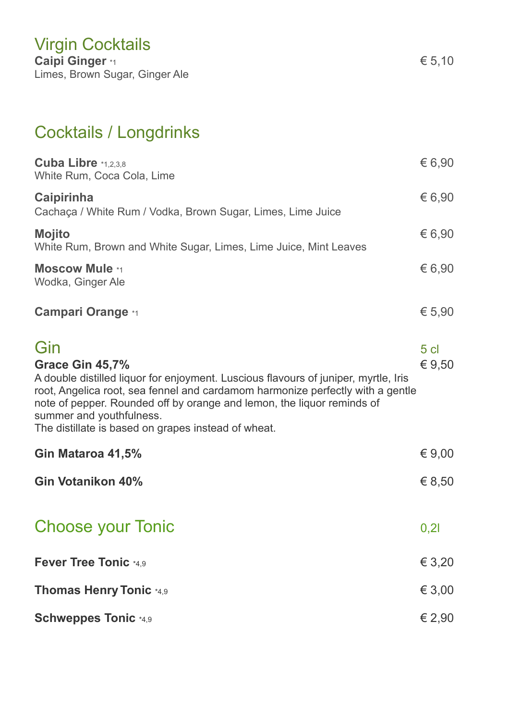## Cocktails / Longdrinks

| Cuba Libre *1,2,3,8<br>White Rum, Coca Cola, Lime                                                                                                                                                                                                                                                                                                            | € 6,90                      |
|--------------------------------------------------------------------------------------------------------------------------------------------------------------------------------------------------------------------------------------------------------------------------------------------------------------------------------------------------------------|-----------------------------|
| Caipirinha<br>Cachaça / White Rum / Vodka, Brown Sugar, Limes, Lime Juice                                                                                                                                                                                                                                                                                    | € 6,90                      |
| <b>Mojito</b><br>White Rum, Brown and White Sugar, Limes, Lime Juice, Mint Leaves                                                                                                                                                                                                                                                                            | € 6,90                      |
| <b>Moscow Mule *1</b><br>Wodka, Ginger Ale                                                                                                                                                                                                                                                                                                                   | € 6,90                      |
| <b>Campari Orange *1</b>                                                                                                                                                                                                                                                                                                                                     | € 5,90                      |
| Gin<br>Grace Gin 45,7%<br>A double distilled liquor for enjoyment. Luscious flavours of juniper, myrtle, Iris<br>root, Angelica root, sea fennel and cardamom harmonize perfectly with a gentle<br>note of pepper. Rounded off by orange and lemon, the liquor reminds of<br>summer and youthfulness.<br>The distillate is based on grapes instead of wheat. | 5 <sub>cl</sub><br>€ $9,50$ |
| Gin Mataroa 41,5%                                                                                                                                                                                                                                                                                                                                            | € $9,00$                    |
| Gin Votanikon 40%                                                                                                                                                                                                                                                                                                                                            | € 8,50                      |
| <b>Choose your Tonic</b>                                                                                                                                                                                                                                                                                                                                     | 0,21                        |
| Fever Tree Tonic *4.9                                                                                                                                                                                                                                                                                                                                        | € 3,20                      |
| <b>Thomas Henry Tonic *4,9</b>                                                                                                                                                                                                                                                                                                                               | € 3,00                      |
| <b>Schweppes Tonic *4,9</b>                                                                                                                                                                                                                                                                                                                                  | € 2,90                      |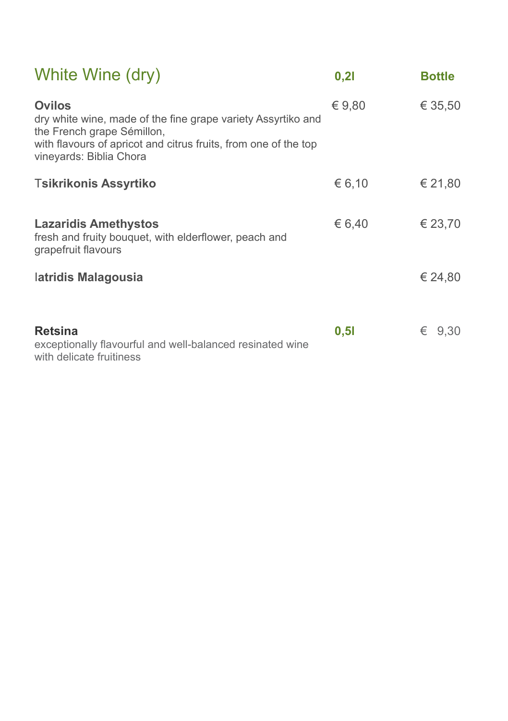| White Wine (dry)                                                                                                                                                                                   | 0,21   | <b>Bottle</b> |
|----------------------------------------------------------------------------------------------------------------------------------------------------------------------------------------------------|--------|---------------|
| Ovilos<br>dry white wine, made of the fine grape variety Assyrtiko and<br>the French grape Sémillon,<br>with flavours of apricot and citrus fruits, from one of the top<br>vineyards: Biblia Chora | € 9,80 | € 35,50       |
| <b>Tsikrikonis Assyrtiko</b>                                                                                                                                                                       | € 6,10 | € 21,80       |
| <b>Lazaridis Amethystos</b><br>fresh and fruity bouquet, with elderflower, peach and<br>grapefruit flavours                                                                                        | € 6,40 | € 23,70       |
| latridis Malagousia                                                                                                                                                                                |        | € 24.80       |
| <b>Retsina</b><br>exceptionally flavourful and well-balanced resinated wine<br>with delicate fruitiness                                                                                            | 0,51   | € 9.30        |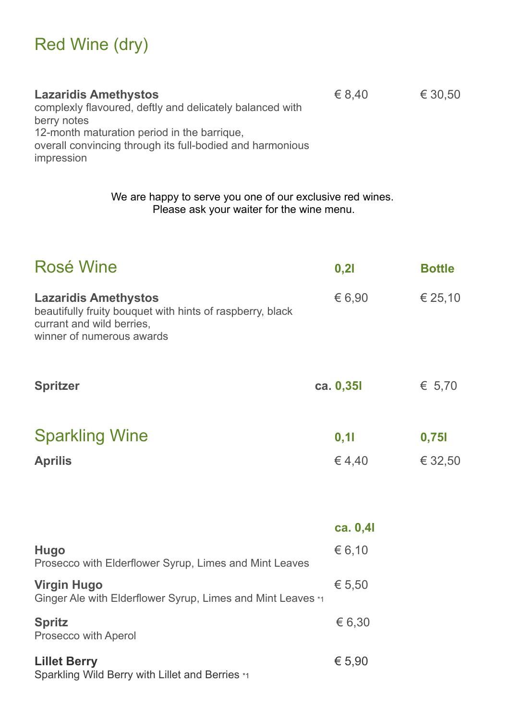# Red Wine (dry)

| <b>Lazaridis Amethystos</b>                               | € 8.40 | € 30.50 |
|-----------------------------------------------------------|--------|---------|
| complexly flavoured, deftly and delicately balanced with  |        |         |
| berry notes                                               |        |         |
| 12-month maturation period in the barrique,               |        |         |
| overall convincing through its full-bodied and harmonious |        |         |
| impression                                                |        |         |

We are happy to serve you one of our exclusive red wines. Please ask your waiter for the wine menu.

| <b>Rosé Wine</b>                                                                                                                                   | 0,21           | <b>Bottle</b>    |
|----------------------------------------------------------------------------------------------------------------------------------------------------|----------------|------------------|
| <b>Lazaridis Amethystos</b><br>beautifully fruity bouquet with hints of raspberry, black<br>currant and wild berries.<br>winner of numerous awards | € 6.90         | € 25,10          |
| <b>Spritzer</b>                                                                                                                                    | ca. 0,351      | € 5,70           |
| <b>Sparkling Wine</b><br><b>Aprilis</b>                                                                                                            | 0, 11<br>€4,40 | 0,751<br>€ 32,50 |

|                                                                                   | ca. $0,4$ |
|-----------------------------------------------------------------------------------|-----------|
| Hugo<br>Prosecco with Elderflower Syrup, Limes and Mint Leaves                    | € 6,10    |
| <b>Virgin Hugo</b><br>Ginger Ale with Elderflower Syrup, Limes and Mint Leaves *1 | € 5.50    |
| <b>Spritz</b><br>Prosecco with Aperol                                             | € 6,30    |
| <b>Lillet Berry</b><br>Sparkling Wild Berry with Lillet and Berries *1            | € 5.90    |